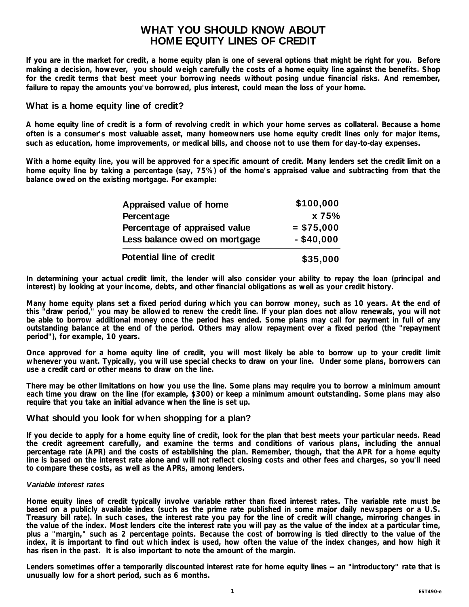# **WHAT YOU SHOULD KNOW ABOUT HOME EQUITY LINES OF CREDIT**

If you are in the market for credit, a home equity plan is one of several options that might be right for you. Before making a decision, however, you should weigh carefully the costs of a home equity line against the benefits. Shop for the credit terms that best meet your borrowing needs without posing undue financial risks. And remember, **failure to repay the amounts you've borrowed, plus interest, could mean the loss of your home.** 

# **What is a home equity line of credit?**

A home equity line of credit is a form of revolving credit in which your home serves as collateral. Because a home often is a consumer's most valuable asset, many homeowners use home equity credit lines only for major items, **such as education, home improvements, or medical bills, and choose not to use them for day-to-day expenses.** 

With a home equity line, you will be approved for a specific amount of credit. Many lenders set the credit limit on a home equity line by taking a percentage (say, 75%) of the home's appraised value and subtracting from that the **balance owed on the existing mortgage. For example:**

| Appraised value of home         | \$100,000    |
|---------------------------------|--------------|
| Percentage                      | x 75%        |
| Percentage of appraised value   | $= $75,000$  |
| Less balance owed on mortgage   | $-$ \$40,000 |
| <b>Potential line of credit</b> | \$35,000     |

In determining your actual credit limit, the lender will also consider your ability to repay the loan (principal and **interest) by looking at your income, debts, and other financial obligations as well as your credit history.** 

Many home equity plans set a fixed period during which you can borrow money, such as 10 years. At the end of this "draw period," you may be allowed to renew the credit line. If your plan does not allow renewals, you will not be able to borrow additional money once the period has ended. Some plans may call for payment in full of any outstanding balance at the end of the period. Others may allow repayment over a fixed period (the "repayment **period"), for example, 10 years.** 

Once approved for a home equity line of credit, you will most likely be able to borrow up to your credit limit whenever you want. Typically, you will use special checks to draw on your line. Under some plans, borrowers can **use a credit card or other means to draw on the line.** 

There may be other limitations on how you use the line. Some plans may require you to borrow a minimum amount each time you draw on the line (for example, \$300) or keep a minimum amount outstanding. Some plans may also **require that you take an initial advance when the line is set up.** 

# **What should you look for when shopping for a plan?**

If you decide to apply for a home equity line of credit, look for the plan that best meets your particular needs. Read **the credit agreement carefully, and examine the terms and conditions of various plans, including the annual** percentage rate (APR) and the costs of establishing the plan. Remember, though, that the APR for a home equity line is based on the interest rate alone and will not reflect closing costs and other fees and charges, so you'll need **to compare these costs, as well as the APRs, among lenders.** 

### *Variable interest rates*

Home equity lines of credit typically involve variable rather than fixed interest rates. The variable rate must be based on a publicly available index (such as the prime rate published in some major daily newspapers or a U.S. Treasury bill rate). In such cases, the interest rate you pay for the line of credit will change, mirroring changes in the value of the index. Most lenders cite the interest rate you will pay as the value of the index at a particular time, plus a "margin," such as 2 percentage points. Because the cost of borrowing is tied directly to the value of the index, it is important to find out which index is used, how often the value of the index changes, and how high it **has risen in the past. It is also important to note the amount of the margin.** 

Lenders sometimes offer a temporarily discounted interest rate for home equity lines -- an "introductory" rate that is **unusually low for a short period, such as 6 months.**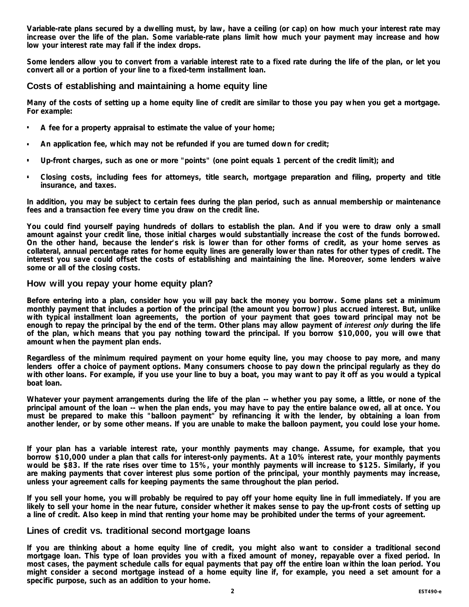Variable-rate plans secured by a dwelling must, by law, have a ceiling (or cap) on how much your interest rate may increase over the life of the plan. Some variable-rate plans limit how much your payment may increase and how **low your interest rate may fall if the index drops.** 

Some lenders allow you to convert from a variable interest rate to a fixed rate during the life of the plan, or let you **convert all or a portion of your line to a fixed-term installment loan.** 

# **Costs of establishing and maintaining a home equity line**

Many of the costs of setting up a home equity line of credit are similar to those you pay when you get a mortgage. **For example:**

- $\blacksquare$ **A fee for a property appraisal to estimate the value of your home;**
- **An application fee, which may not be refunded if you are turned down for credit;** r.
- Up-front charges, such as one or more "points" (one point equals 1 percent of the credit limit); and ×
- **Closing costs, including fees for attorneys, title search, mortgage preparation and filing, property and title insurance, and taxes.**

In addition, you may be subject to certain fees during the plan period, such as annual membership or maintenance **fees and a transaction fee every time you draw on the credit line.** 

You could find yourself paying hundreds of dollars to establish the plan. And if you were to draw only a small amount against your credit line, those initial charges would substantially increase the cost of the funds borrowed. On the other hand, because the lender's risk is lower than for other forms of credit, as your home serves as collateral, annual percentage rates for home equity lines are generally lower than rates for other types of credit. The interest you save could offset the costs of establishing and maintaining the line. Moreover, some lenders waive **some or all of the closing costs.** 

## **How will you repay your home equity plan?**

Before entering into a plan, consider how you will pay back the money you borrow. Some plans set a minimum monthly payment that includes a portion of the principal (the amount you borrow) plus accrued interest. But, unlike with typical installment loan agreements, the portion of your payment that goes toward principal may not be enough to repay the principal by the end of the term. Other plans may allow payment of *interest only* during the life of the plan, which means that you pay nothing toward the principal. If you borrow \$10,000, you will owe that **amount when the payment plan ends.** 

Regardless of the minimum required payment on your home equity line, you may choose to pay more, and many lenders offer a choice of payment options. Many consumers choose to pay down the principal regularly as they do with other loans. For example, if you use your line to buy a boat, you may want to pay it off as you would a typical **boat loan.** 

Whatever your payment arrangements during the life of the plan -- whether you pay some, a little, or none of the principal amount of the loan -- when the plan ends, you may have to pay the entire balance owed, all at once. You must be prepared to make this "balloon payment" by refinancing it with the lender, by obtaining a loan from another lender, or by some other means. If you are unable to make the balloon payment, you could lose your home.

If your plan has a variable interest rate, your monthly payments may change. Assume, for example, that you borrow \$10,000 under a plan that calls for interest-only payments. At a 10% interest rate, your monthly payments would be \$83. If the rate rises over time to 15%, your monthly payments will increase to \$125. Similarly, if you are making payments that cover interest plus some portion of the principal, your monthly payments may increase, **unless your agreement calls for keeping payments the same throughout the plan period.** 

If you sell your home, you will probably be required to pay off your home equity line in full immediately. If you are likely to sell your home in the near future, consider whether it makes sense to pay the up-front costs of setting up **a line of credit. Also keep in mind that renting your home may be prohibited under the terms of your agreement.** 

## **Lines of credit vs. traditional second mortgage loans**

If you are thinking about a home equity line of credit, you might also want to consider a traditional second mortgage loan. This type of loan provides you with a fixed amount of money, repayable over a fixed period. In most cases, the payment schedule calls for equal payments that pay off the entire loan within the loan period. You might consider a second mortgage instead of a home equity line if, for example, you need a set amount for a **specific purpose, such as an addition to your home.**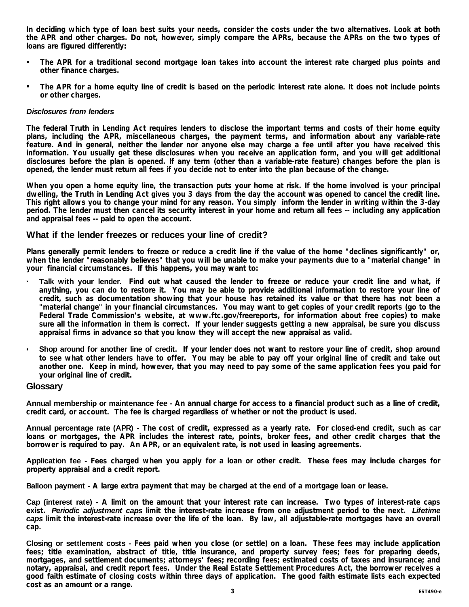In deciding which type of loan best suits your needs, consider the costs under the two alternatives. Look at both the APR and other charges. Do not, however, simply compare the APRs, because the APRs on the two types of **loans are figured differently:** 

- $\blacksquare$ The APR for a traditional second mortgage loan takes into account the interest rate charged plus points and **other finance charges.**
- $\blacksquare$ The APR for a home equity line of credit is based on the periodic interest rate alone. It does not include points **or other charges.**

#### *Disclosures from lenders*

The federal Truth in Lending Act requires lenders to disclose the important terms and costs of their home equity **plans, including the APR, miscellaneous charges, the payment terms, and information about any variable-rate** feature. And in general, neither the lender nor anyone else may charge a fee until after you have received this information. You usually get these disclosures when you receive an application form, and you will get additional disclosures before the plan is opened. If any term (other than a variable-rate feature) changes before the plan is **opened, the lender must return all fees if you decide not to enter into the plan because of the change.** 

When you open a home equity line, the transaction puts your home at risk. If the home involved is your principal dwelling, the Truth in Lending Act gives you 3 days from the day the account was opened to cancel the credit line. This right allows you to change your mind for any reason. You simply inform the lender in writing within the 3-day period. The lender must then cancel its security interest in your home and return all fees -- including any application **and appraisal fees -- paid to open the account.** 

### **What if the lender freezes or reduces your line of credit?**

Plans generally permit lenders to freeze or reduce a credit line if the value of the home "declines significantly" or, when the lender "reasonably believes" that you will be unable to make your payments due to a "material change" in **your financial circumstances. If this happens, you may want to:**

- Talk with your lender. Find out what caused the lender to freeze or reduce your credit line and what, if anything, you can do to restore it. You may be able to provide additional information to restore your line of credit, such as documentation showing that your house has retained its value or that there has not been a "material change" in your financial circumstances. You may want to get copies of your credit reports (go to the **Federal Trade Commission's website, at www.ftc.gov/freereports, for information about free copies) to make** sure all the information in them is correct. If your lender suggests getting a new appraisal, be sure you discuss **appraisal firms in advance so that you know they will accept the new appraisal as valid.**
- Shop around for another line of credit. If your lender does not want to restore your line of credit, shop around to see what other lenders have to offer. You may be able to pay off your original line of credit and take out another one. Keep in mind, however, that you may need to pay some of the same application fees you paid for **your original line of credit.**

#### **Glossary**

Annual membership or maintenance fee - An annual charge for access to a financial product such as a line of credit, **credit card, or account. The fee is charged regardless of whether or not the product is used.**

Annual percentage rate (APR) - The cost of credit, expressed as a yearly rate. For closed-end credit, such as car loans or mortgages, the APR includes the interest rate, points, broker fees, and other credit charges that the **borrower is required to pay. An APR, or an equivalent rate, is not used in leasing agreements.**

Application fee - Fees charged when you apply for a loan or other credit. These fees may include charges for **property appraisal and a credit report.**

Balloon payment - A large extra payment that may be charged at the end of a mortgage loan or lease.

Cap (interest rate) - A limit on the amount that your interest rate can increase. Two types of interest-rate caps exist. Periodic adjustment caps limit the interest-rate increase from one adjustment period to the next. Lifetime caps limit the interest-rate increase over the life of the loan. By law, all adjustable-rate mortgages have an overall **cap.**

Closing or settlement costs - Fees paid when you close (or settle) on a loan. These fees may include application **fees; title examination, abstract of title, title insurance, and property survey fees; fees for preparing deeds, mortgages, and settlement documents; attorneys' fees; recording fees; estimated costs of taxes and insurance; and** notary, appraisal, and credit report fees. Under the Real Estate Settlement Procedures Act, the borrower receives a good faith estimate of closing costs within three days of application. The good faith estimate lists each expected **cost as an amount or a range.**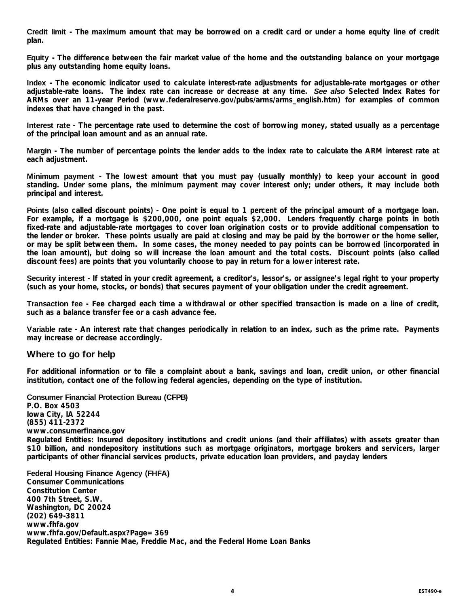Credit limit - The maximum amount that may be borrowed on a credit card or under a home equity line of credit **plan.** 

Equity - The difference between the fair market value of the home and the outstanding balance on your mortgage **plus any outstanding home equity loans.**

**Index - The economic indicator used to calculate interest-rate adjustments for adjustable-rate mortgages or other** adjustable-rate loans. The index rate can increase or decrease at any time. See also Selected Index Rates for **ARMs over an 11-year Period (www.federalreserve.gov/pubs/arms/arms\_english.htm) for examples of common indexes that have changed in the past.**

Interest rate - The percentage rate used to determine the cost of borrowing money, stated usually as a percentage **of the principal loan amount and as an annual rate.**

Margin - The number of percentage points the lender adds to the index rate to calculate the ARM interest rate at **each adjustment.**

Minimum payment - The lowest amount that you must pay (usually monthly) to keep your account in good standing. Under some plans, the minimum payment may cover interest only; under others, it may include both **principal and interest.** 

Points (also called discount points) - One point is equal to 1 percent of the principal amount of a mortgage loan. **For example, if a mortgage is \$200,000, one point equals \$2,000. Lenders frequently charge points in both fixed-rate and adjustable-rate mortgages to cover loan origination costs or to provide additional compensation to** the lender or broker. These points usually are paid at closing and may be paid by the borrower or the home seller, or may be split between them. In some cases, the money needed to pay points can be borrowed (incorporated in the loan amount), but doing so will increase the loan amount and the total costs. Discount points (also called **discount fees) are points that you voluntarily choose to pay in return for a lower interest rate.**

Security interest - If stated in your credit agreement, a creditor's, lessor's, or assignee's legal right to your property **(such as your home, stocks, or bonds) that secures payment of your obligation under the credit agreement.**

Transaction fee - Fee charged each time a withdrawal or other specified transaction is made on a line of credit, **such as a balance transfer fee or a cash advance fee.**

Variable rate - An interest rate that changes periodically in relation to an index, such as the prime rate. Payments **may increase or decrease accordingly.** 

## **Where to go for help**

For additional information or to file a complaint about a bank, savings and loan, credit union, or other financial **institution, contact one of the following federal agencies, depending on the type of institution.**

**Consumer Financial Protection Bureau (CFPB) P.O. Box 4503 Iowa City, IA 52244 (855) 411-2372 www.consumerfinance.gov Regulated Entities: Insured depository institutions and credit unions (and their affiliates) with assets greater than \$10 billion, and nondepository institutions such as mortgage originators, mortgage brokers and servicers, larger participants of other financial services products, private education loan providers, and payday lenders**

**Federal Housing Finance Agency (FHFA) Consumer Communications Constitution Center 400 7th Street, S.W. Washington, DC 20024 (202) 649-3811 www.fhfa.gov www.fhfa.gov/Default.aspx?Page=369 Regulated Entities: Fannie Mae, Freddie Mac, and the Federal Home Loan Banks**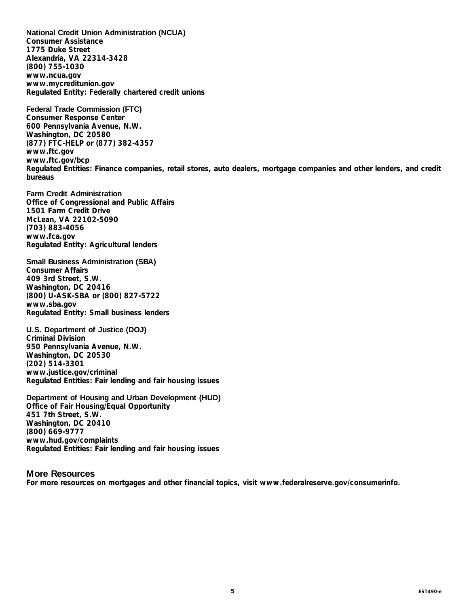**National Credit Union Administration (NCUA) Consumer Assistance 1775 Duke Street Alexandria, VA 22314-3428 (800) 755-1030 www.ncua.gov www.mycreditunion.gov Regulated Entity: Federally chartered credit unions**

**Federal Trade Commission (FTC) Consumer Response Center 600 Pennsylvania Avenue, N.W. Washington, DC 20580 (877) FTC-HELP or (877) 382-4357 www.ftc.gov www.ftc.gov/bcp Regulated Entities: Finance companies, retail stores, auto dealers, mortgage companies and other lenders, and credit bureaus**

#### **Farm Credit Administration Office of Congressional and Public Affairs 1501 Farm Credit Drive McLean, VA 22102-5090 (703) 883-4056 www.fca.gov**

**Regulated Entity: Agricultural lenders**

### **Small Business Administration (SBA)**

**Consumer Affairs 409 3rd Street, S.W. Washington, DC 20416 (800) U-ASK-SBA or (800) 827-5722 www.sba.gov Regulated Entity: Small business lenders**

### **U.S. Department of Justice (DOJ)**

**Criminal Division 950 Pennsylvania Avenue, N.W. Washington, DC 20530 (202) 514-3301 www.justice.gov/criminal Regulated Entities: Fair lending and fair housing issues**

### **Department of Housing and Urban Development (HUD)**

**Office of Fair Housing/Equal Opportunity 451 7th Street, S.W. Washington, DC 20410 (800) 669-9777 www.hud.gov/complaints Regulated Entities: Fair lending and fair housing issues**

### **More Resources**

**For more resources on mortgages and other financial topics, visit www.federalreserve.gov/consumerinfo.**